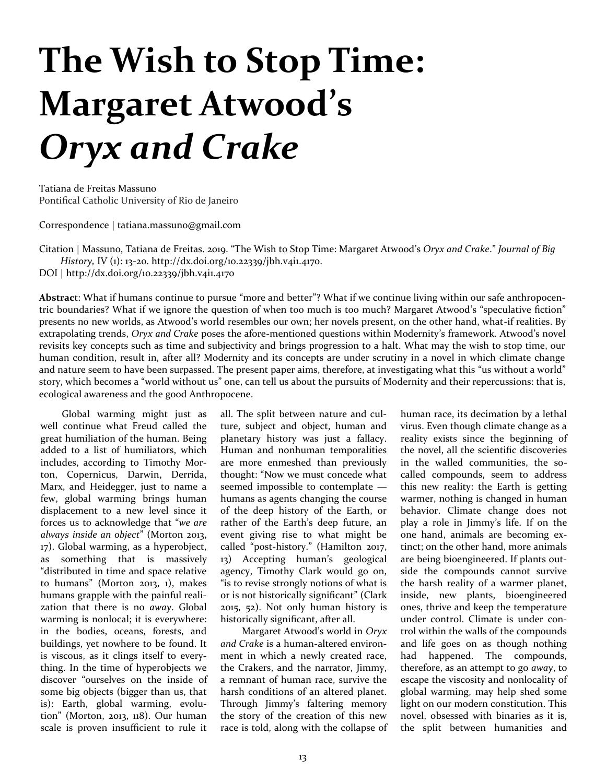## **The Wish to Stop Time: Margaret Atwood's**  *Oryx and Crake*

Tatiana de Freitas Massuno Pontifical Catholic University of Rio de Janeiro

Correspondence | tatiana.massuno@gmail.com

Citation | Massuno, Tatiana de Freitas. 2019. "The Wish to Stop Time: Margaret Atwood's *Oryx and Crake*." *Journal of Big History,* IV (1): 13-20. http://dx.doi.org/10.22339/jbh.v4i1.4170.

DOI | http://dx.doi.org/10.22339/jbh.v4i1.4170

**Abstrac**t: What if humans continue to pursue "more and better"? What if we continue living within our safe anthropocentric boundaries? What if we ignore the question of when too much is too much? Margaret Atwood's "speculative fiction" presents no new worlds, as Atwood's world resembles our own; her novels present, on the other hand, what-if realities. By extrapolating trends, *Oryx and Crake* poses the afore-mentioned questions within Modernity's framework. Atwood's novel revisits key concepts such as time and subjectivity and brings progression to a halt. What may the wish to stop time, our human condition, result in, after all? Modernity and its concepts are under scrutiny in a novel in which climate change and nature seem to have been surpassed. The present paper aims, therefore, at investigating what this "us without a world" story, which becomes a "world without us" one, can tell us about the pursuits of Modernity and their repercussions: that is, ecological awareness and the good Anthropocene.

Global warming might just as well continue what Freud called the great humiliation of the human. Being added to a list of humiliators, which includes, according to Timothy Morton, Copernicus, Darwin, Derrida, Marx, and Heidegger, just to name a few, global warming brings human displacement to a new level since it forces us to acknowledge that "*we are always inside an object*" (Morton 2013, 17). Global warming, as a hyperobject, as something that is massively "distributed in time and space relative to humans" (Morton 2013, 1), makes humans grapple with the painful realization that there is no *away*. Global warming is nonlocal; it is everywhere: in the bodies, oceans, forests, and buildings, yet nowhere to be found. It is viscous, as it clings itself to everything. In the time of hyperobjects we discover "ourselves on the inside of some big objects (bigger than us, that is): Earth, global warming, evolution" (Morton, 2013, 118). Our human scale is proven insufficient to rule it all. The split between nature and culture, subject and object, human and planetary history was just a fallacy. Human and nonhuman temporalities are more enmeshed than previously thought: "Now we must concede what seemed impossible to contemplate humans as agents changing the course of the deep history of the Earth, or rather of the Earth's deep future, an event giving rise to what might be called "post-history." (Hamilton 2017, 13) Accepting human's geological agency, Timothy Clark would go on, "is to revise strongly notions of what is or is not historically significant" (Clark 2015, 52). Not only human history is historically significant, after all.

Margaret Atwood's world in *Oryx and Crake* is a human-altered environment in which a newly created race, the Crakers, and the narrator, Jimmy, a remnant of human race, survive the harsh conditions of an altered planet. Through Jimmy's faltering memory the story of the creation of this new race is told, along with the collapse of

human race, its decimation by a lethal virus. Even though climate change as a reality exists since the beginning of the novel, all the scientific discoveries in the walled communities, the socalled compounds, seem to address this new reality: the Earth is getting warmer, nothing is changed in human behavior. Climate change does not play a role in Jimmy's life. If on the one hand, animals are becoming extinct; on the other hand, more animals are being bioengineered. If plants outside the compounds cannot survive the harsh reality of a warmer planet, inside, new plants, bioengineered ones, thrive and keep the temperature under control. Climate is under control within the walls of the compounds and life goes on as though nothing had happened. The compounds, therefore, as an attempt to go *away*, to escape the viscosity and nonlocality of global warming, may help shed some light on our modern constitution. This novel, obsessed with binaries as it is, the split between humanities and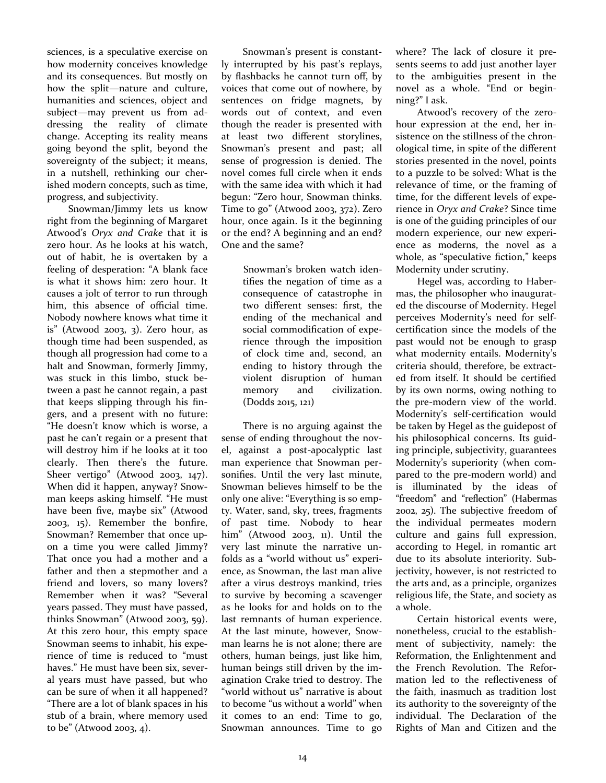sciences, is a speculative exercise on how modernity conceives knowledge and its consequences. But mostly on how the split—nature and culture, humanities and sciences, object and subject—may prevent us from addressing the reality of climate change. Accepting its reality means going beyond the split, beyond the sovereignty of the subject; it means, in a nutshell, rethinking our cherished modern concepts, such as time, progress, and subjectivity.

Snowman/Jimmy lets us know right from the beginning of Margaret Atwood's *Oryx and Crake* that it is zero hour. As he looks at his watch, out of habit, he is overtaken by a feeling of desperation: "A blank face is what it shows him: zero hour. It causes a jolt of terror to run through him, this absence of official time. Nobody nowhere knows what time it is" (Atwood 2003, 3). Zero hour, as though time had been suspended, as though all progression had come to a halt and Snowman, formerly Jimmy, was stuck in this limbo, stuck between a past he cannot regain, a past that keeps slipping through his fingers, and a present with no future: "He doesn't know which is worse, a past he can't regain or a present that will destroy him if he looks at it too clearly. Then there's the future. Sheer vertigo" (Atwood 2003, 147). When did it happen, anyway? Snowman keeps asking himself. "He must have been five, maybe six" (Atwood 2003, 15). Remember the bonfire, Snowman? Remember that once upon a time you were called Jimmy? That once you had a mother and a father and then a stepmother and a friend and lovers, so many lovers? Remember when it was? "Several years passed. They must have passed, thinks Snowman" (Atwood 2003, 59). At this zero hour, this empty space Snowman seems to inhabit, his experience of time is reduced to "must haves." He must have been six, several years must have passed, but who can be sure of when it all happened? "There are a lot of blank spaces in his stub of a brain, where memory used to be" (Atwood 2003, 4).

Snowman's present is constantly interrupted by his past's replays, by flashbacks he cannot turn off, by voices that come out of nowhere, by sentences on fridge magnets, by words out of context, and even though the reader is presented with at least two different storylines, Snowman's present and past; all sense of progression is denied. The novel comes full circle when it ends with the same idea with which it had begun: "Zero hour, Snowman thinks. Time to go" (Atwood 2003, 372). Zero hour, once again. Is it the beginning or the end? A beginning and an end? One and the same?

> Snowman's broken watch identifies the negation of time as a consequence of catastrophe in two different senses: first, the ending of the mechanical and social commodification of experience through the imposition of clock time and, second, an ending to history through the violent disruption of human memory and civilization. (Dodds 2015, 121)

There is no arguing against the sense of ending throughout the novel, against a post-apocalyptic last man experience that Snowman personifies. Until the very last minute, Snowman believes himself to be the only one alive: "Everything is so empty. Water, sand, sky, trees, fragments of past time. Nobody to hear him" (Atwood 2003, 11). Until the very last minute the narrative unfolds as a "world without us" experience, as Snowman, the last man alive after a virus destroys mankind, tries to survive by becoming a scavenger as he looks for and holds on to the last remnants of human experience. At the last minute, however, Snowman learns he is not alone; there are others, human beings, just like him, human beings still driven by the imagination Crake tried to destroy. The "world without us" narrative is about to become "us without a world" when it comes to an end: Time to go, Snowman announces. Time to go where? The lack of closure it presents seems to add just another layer to the ambiguities present in the novel as a whole. "End or beginning?" I ask.

Atwood's recovery of the zerohour expression at the end, her insistence on the stillness of the chronological time, in spite of the different stories presented in the novel, points to a puzzle to be solved: What is the relevance of time, or the framing of time, for the different levels of experience in *Oryx and Crake*? Since time is one of the guiding principles of our modern experience, our new experience as moderns, the novel as a whole, as "speculative fiction," keeps Modernity under scrutiny.

Hegel was, according to Habermas, the philosopher who inaugurated the discourse of Modernity. Hegel perceives Modernity's need for selfcertification since the models of the past would not be enough to grasp what modernity entails. Modernity's criteria should, therefore, be extracted from itself. It should be certified by its own norms, owing nothing to the pre-modern view of the world. Modernity's self-certification would be taken by Hegel as the guidepost of his philosophical concerns. Its guiding principle, subjectivity, guarantees Modernity's superiority (when compared to the pre-modern world) and is illuminated by the ideas of "freedom" and "reflection" (Habermas 2002, 25). The subjective freedom of the individual permeates modern culture and gains full expression, according to Hegel, in romantic art due to its absolute interiority. Subjectivity, however, is not restricted to the arts and, as a principle, organizes religious life, the State, and society as a whole.

Certain historical events were, nonetheless, crucial to the establishment of subjectivity, namely: the Reformation, the Enlightenment and the French Revolution. The Reformation led to the reflectiveness of the faith, inasmuch as tradition lost its authority to the sovereignty of the individual. The Declaration of the Rights of Man and Citizen and the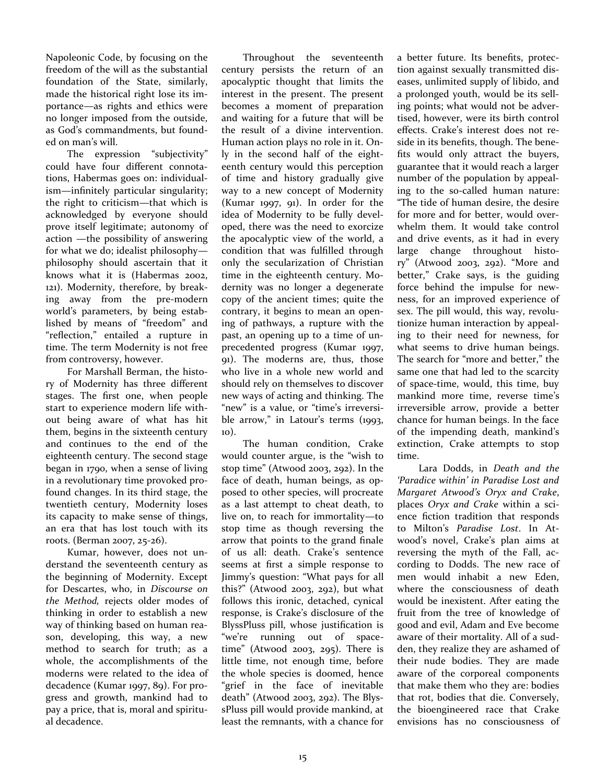Napoleonic Code, by focusing on the freedom of the will as the substantial foundation of the State, similarly, made the historical right lose its importance—as rights and ethics were no longer imposed from the outside, as God's commandments, but founded on man's will.

The expression "subjectivity" could have four different connotations, Habermas goes on: individualism—infinitely particular singularity; the right to criticism—that which is acknowledged by everyone should prove itself legitimate; autonomy of action —the possibility of answering for what we do; idealist philosophy philosophy should ascertain that it knows what it is (Habermas 2002, 121). Modernity, therefore, by breaking away from the pre-modern world's parameters, by being established by means of "freedom" and "reflection," entailed a rupture in time. The term Modernity is not free from controversy, however.

For Marshall Berman, the history of Modernity has three different stages. The first one, when people start to experience modern life without being aware of what has hit them, begins in the sixteenth century and continues to the end of the eighteenth century. The second stage began in 1790, when a sense of living in a revolutionary time provoked profound changes. In its third stage, the twentieth century, Modernity loses its capacity to make sense of things, an era that has lost touch with its roots. (Berman 2007, 25-26).

Kumar, however, does not understand the seventeenth century as the beginning of Modernity. Except for Descartes, who, in *Discourse on the Method,* rejects older modes of thinking in order to establish a new way of thinking based on human reason, developing, this way, a new method to search for truth; as a whole, the accomplishments of the moderns were related to the idea of decadence (Kumar 1997, 89). For progress and growth, mankind had to pay a price, that is, moral and spiritual decadence.

Throughout the seventeenth century persists the return of an apocalyptic thought that limits the interest in the present. The present becomes a moment of preparation and waiting for a future that will be the result of a divine intervention. Human action plays no role in it. Only in the second half of the eighteenth century would this perception of time and history gradually give way to a new concept of Modernity (Kumar 1997, 91). In order for the idea of Modernity to be fully developed, there was the need to exorcize the apocalyptic view of the world, a condition that was fulfilled through only the secularization of Christian time in the eighteenth century. Modernity was no longer a degenerate copy of the ancient times; quite the contrary, it begins to mean an opening of pathways, a rupture with the past, an opening up to a time of unprecedented progress (Kumar 1997, 91). The moderns are, thus, those who live in a whole new world and should rely on themselves to discover new ways of acting and thinking. The "new" is a value, or "time's irreversible arrow," in Latour's terms (1993, 10).

The human condition, Crake would counter argue, is the "wish to stop time" (Atwood 2003, 292). In the face of death, human beings, as opposed to other species, will procreate as a last attempt to cheat death, to live on, to reach for immortality—to stop time as though reversing the arrow that points to the grand finale of us all: death. Crake's sentence seems at first a simple response to Jimmy's question: "What pays for all this?" (Atwood 2003, 292), but what follows this ironic, detached, cynical response, is Crake's disclosure of the BlyssPluss pill, whose justification is "we're running out of spacetime" (Atwood 2003, 295). There is little time, not enough time, before the whole species is doomed, hence "grief in the face of inevitable death" (Atwood 2003, 292). The BlyssPluss pill would provide mankind, at least the remnants, with a chance for

a better future. Its benefits, protection against sexually transmitted diseases, unlimited supply of libido, and a prolonged youth, would be its selling points; what would not be advertised, however, were its birth control effects. Crake's interest does not reside in its benefits, though. The benefits would only attract the buyers, guarantee that it would reach a larger number of the population by appealing to the so-called human nature: "The tide of human desire, the desire for more and for better, would overwhelm them. It would take control and drive events, as it had in every large change throughout history" (Atwood 2003, 292). "More and better," Crake says, is the guiding force behind the impulse for newness, for an improved experience of sex. The pill would, this way, revolutionize human interaction by appealing to their need for newness, for what seems to drive human beings. The search for "more and better," the same one that had led to the scarcity of space-time, would, this time, buy mankind more time, reverse time's irreversible arrow, provide a better chance for human beings. In the face of the impending death, mankind's extinction, Crake attempts to stop time.

Lara Dodds, in *Death and the 'Paradice within' in Paradise Lost and Margaret Atwood's Oryx and Crake*, places *Oryx and Crake* within a science fiction tradition that responds to Milton's *Paradise Lost*. In Atwood's novel, Crake's plan aims at reversing the myth of the Fall, according to Dodds. The new race of men would inhabit a new Eden, where the consciousness of death would be inexistent. After eating the fruit from the tree of knowledge of good and evil, Adam and Eve become aware of their mortality. All of a sudden, they realize they are ashamed of their nude bodies. They are made aware of the corporeal components that make them who they are: bodies that rot, bodies that die. Conversely, the bioengineered race that Crake envisions has no consciousness of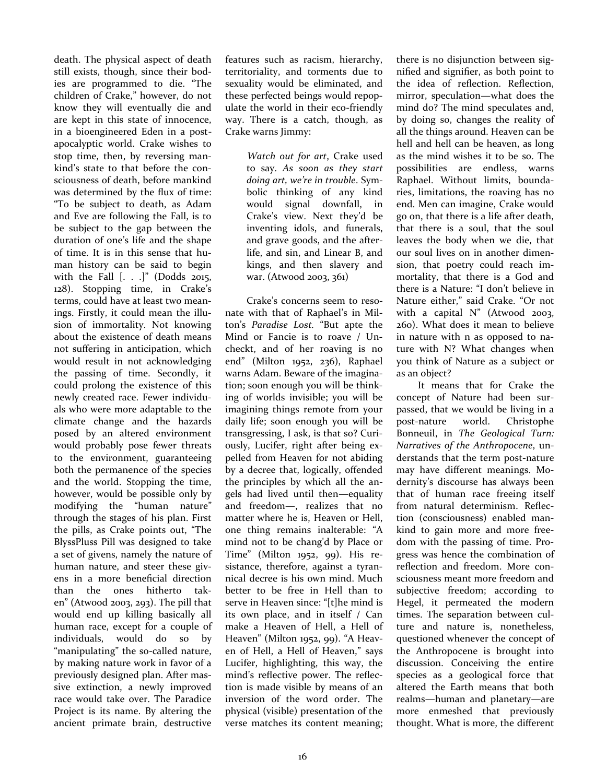death. The physical aspect of death still exists, though, since their bodies are programmed to die. "The children of Crake," however, do not know they will eventually die and are kept in this state of innocence, in a bioengineered Eden in a postapocalyptic world. Crake wishes to stop time, then, by reversing mankind's state to that before the consciousness of death, before mankind was determined by the flux of time: "To be subject to death, as Adam and Eve are following the Fall, is to be subject to the gap between the duration of one's life and the shape of time. It is in this sense that human history can be said to begin with the Fall [. . .]" (Dodds 2015, 128). Stopping time, in Crake's terms, could have at least two meanings. Firstly, it could mean the illusion of immortality. Not knowing about the existence of death means not suffering in anticipation, which would result in not acknowledging the passing of time. Secondly, it could prolong the existence of this newly created race. Fewer individuals who were more adaptable to the climate change and the hazards posed by an altered environment would probably pose fewer threats to the environment, guaranteeing both the permanence of the species and the world. Stopping the time, however, would be possible only by modifying the "human nature" through the stages of his plan. First the pills, as Crake points out, "The BlyssPluss Pill was designed to take a set of givens, namely the nature of human nature, and steer these givens in a more beneficial direction than the ones hitherto taken" (Atwood 2003, 293). The pill that would end up killing basically all human race, except for a couple of individuals, would do so by "manipulating" the so-called nature, by making nature work in favor of a previously designed plan. After massive extinction, a newly improved race would take over. The Paradice Project is its name. By altering the ancient primate brain, destructive

features such as racism, hierarchy, territoriality, and torments due to sexuality would be eliminated, and these perfected beings would repopulate the world in their eco-friendly way. There is a catch, though, as Crake warns Jimmy:

> *Watch out for art*, Crake used to say. *As soon as they start doing art, we're in trouble*. Symbolic thinking of any kind would signal downfall, in Crake's view. Next they'd be inventing idols, and funerals, and grave goods, and the afterlife, and sin, and Linear B, and kings, and then slavery and war. (Atwood 2003, 361)

Crake's concerns seem to resonate with that of Raphael's in Milton's *Paradise Lost.* "But apte the Mind or Fancie is to roave / Uncheckt, and of her roaving is no end" (Milton 1952, 236), Raphael warns Adam. Beware of the imagination; soon enough you will be thinking of worlds invisible; you will be imagining things remote from your daily life; soon enough you will be transgressing, I ask, is that so? Curiously, Lucifer, right after being expelled from Heaven for not abiding by a decree that, logically, offended the principles by which all the angels had lived until then—equality and freedom—, realizes that no matter where he is, Heaven or Hell, one thing remains inalterable: "A mind not to be chang'd by Place or Time" (Milton 1952, 99). His resistance, therefore, against a tyrannical decree is his own mind. Much better to be free in Hell than to serve in Heaven since: "[t]he mind is its own place, and in itself / Can make a Heaven of Hell, a Hell of Heaven" (Milton 1952, 99). "A Heaven of Hell, a Hell of Heaven," says Lucifer, highlighting, this way, the mind's reflective power. The reflection is made visible by means of an inversion of the word order. The physical (visible) presentation of the verse matches its content meaning; there is no disjunction between signified and signifier, as both point to the idea of reflection. Reflection, mirror, speculation—what does the mind do? The mind speculates and, by doing so, changes the reality of all the things around. Heaven can be hell and hell can be heaven, as long as the mind wishes it to be so. The possibilities are endless, warns Raphael. Without limits, boundaries, limitations, the roaving has no end. Men can imagine, Crake would go on, that there is a life after death, that there is a soul, that the soul leaves the body when we die, that our soul lives on in another dimension, that poetry could reach immortality, that there is a God and there is a Nature: "I don't believe in Nature either," said Crake. "Or not with a capital N" (Atwood 2003, 260). What does it mean to believe in nature with n as opposed to nature with N? What changes when you think of Nature as a subject or as an object?

It means that for Crake the concept of Nature had been surpassed, that we would be living in a post-nature world. Christophe Bonneuil, in *The Geological Turn: Narratives of the Anthropocene*, understands that the term post-nature may have different meanings. Modernity's discourse has always been that of human race freeing itself from natural determinism. Reflection (consciousness) enabled mankind to gain more and more freedom with the passing of time. Progress was hence the combination of reflection and freedom. More consciousness meant more freedom and subjective freedom; according to Hegel, it permeated the modern times. The separation between culture and nature is, nonetheless, questioned whenever the concept of the Anthropocene is brought into discussion. Conceiving the entire species as a geological force that altered the Earth means that both realms—human and planetary—are more enmeshed that previously thought. What is more, the different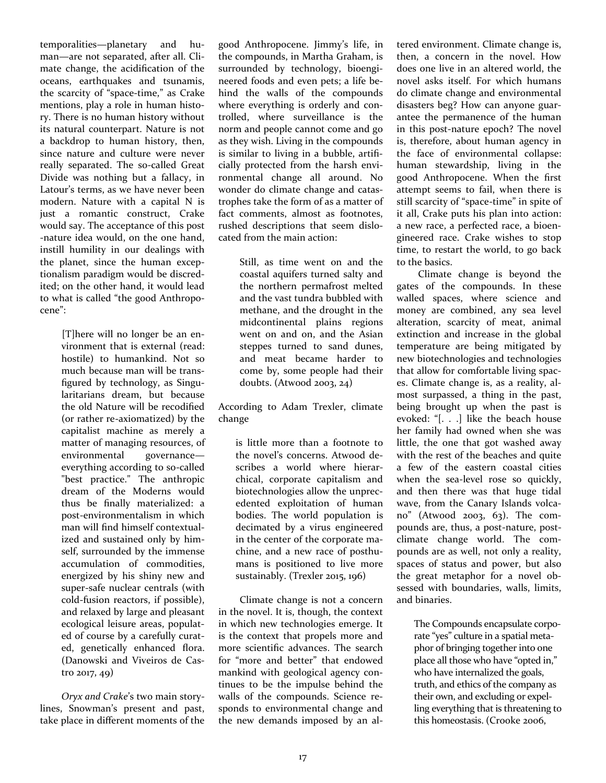temporalities—planetary and human—are not separated, after all. Climate change, the acidification of the oceans, earthquakes and tsunamis, the scarcity of "space-time," as Crake mentions, play a role in human history. There is no human history without its natural counterpart. Nature is not a backdrop to human history, then, since nature and culture were never really separated. The so-called Great Divide was nothing but a fallacy, in Latour's terms, as we have never been modern. Nature with a capital N is just a romantic construct, Crake would say. The acceptance of this post -nature idea would, on the one hand, instill humility in our dealings with the planet, since the human exceptionalism paradigm would be discredited; on the other hand, it would lead to what is called "the good Anthropocene":

> [T]here will no longer be an environment that is external (read: hostile) to humankind. Not so much because man will be transfigured by technology, as Singularitarians dream, but because the old Nature will be recodified (or rather re-axiomatized) by the capitalist machine as merely a matter of managing resources, of environmental governance everything according to so-called "best practice." The anthropic dream of the Moderns would thus be finally materialized: a post-environmentalism in which man will find himself contextualized and sustained only by himself, surrounded by the immense accumulation of commodities, energized by his shiny new and super-safe nuclear centrals (with cold-fusion reactors, if possible), and relaxed by large and pleasant ecological leisure areas, populated of course by a carefully curated, genetically enhanced flora. (Danowski and Viveiros de Castro 2017, 49)

*Oryx and Crake*'s two main storylines, Snowman's present and past, take place in different moments of the good Anthropocene. Jimmy's life, in the compounds, in Martha Graham, is surrounded by technology, bioengineered foods and even pets; a life behind the walls of the compounds where everything is orderly and controlled, where surveillance is the norm and people cannot come and go as they wish. Living in the compounds is similar to living in a bubble, artificially protected from the harsh environmental change all around. No wonder do climate change and catastrophes take the form of as a matter of fact comments, almost as footnotes, rushed descriptions that seem dislocated from the main action:

> Still, as time went on and the coastal aquifers turned salty and the northern permafrost melted and the vast tundra bubbled with methane, and the drought in the midcontinental plains regions went on and on, and the Asian steppes turned to sand dunes, and meat became harder to come by, some people had their doubts. (Atwood 2003, 24)

According to Adam Trexler, climate change

is little more than a footnote to the novel's concerns. Atwood describes a world where hierarchical, corporate capitalism and biotechnologies allow the unprecedented exploitation of human bodies. The world population is decimated by a virus engineered in the center of the corporate machine, and a new race of posthumans is positioned to live more sustainably. (Trexler 2015, 196)

Climate change is not a concern in the novel. It is, though, the context in which new technologies emerge. It is the context that propels more and more scientific advances. The search for "more and better" that endowed mankind with geological agency continues to be the impulse behind the walls of the compounds. Science responds to environmental change and the new demands imposed by an altered environment. Climate change is, then, a concern in the novel. How does one live in an altered world, the novel asks itself. For which humans do climate change and environmental disasters beg? How can anyone guarantee the permanence of the human in this post-nature epoch? The novel is, therefore, about human agency in the face of environmental collapse: human stewardship, living in the good Anthropocene. When the first attempt seems to fail, when there is still scarcity of "space-time" in spite of it all, Crake puts his plan into action: a new race, a perfected race, a bioengineered race. Crake wishes to stop time, to restart the world, to go back to the basics.

Climate change is beyond the gates of the compounds. In these walled spaces, where science and money are combined, any sea level alteration, scarcity of meat, animal extinction and increase in the global temperature are being mitigated by new biotechnologies and technologies that allow for comfortable living spaces. Climate change is, as a reality, almost surpassed, a thing in the past, being brought up when the past is evoked: "[. . .] like the beach house her family had owned when she was little, the one that got washed away with the rest of the beaches and quite a few of the eastern coastal cities when the sea-level rose so quickly, and then there was that huge tidal wave, from the Canary Islands volcano" (Atwood 2003, 63). The compounds are, thus, a post-nature, postclimate change world. The compounds are as well, not only a reality, spaces of status and power, but also the great metaphor for a novel obsessed with boundaries, walls, limits, and binaries.

> The Compounds encapsulate corporate "yes" culture in a spatial metaphor of bringing together into one place all those who have "opted in," who have internalized the goals, truth, and ethics of the company as their own, and excluding or expelling everything that is threatening to this homeostasis. (Crooke 2006,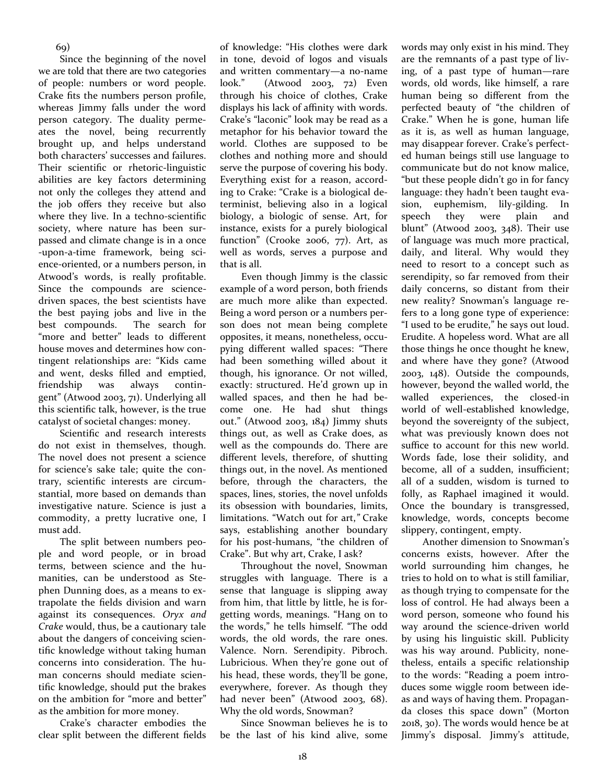Since the beginning of the novel we are told that there are two categories of people: numbers or word people. Crake fits the numbers person profile, whereas Jimmy falls under the word person category. The duality permeates the novel, being recurrently brought up, and helps understand both characters' successes and failures. Their scientific or rhetoric-linguistic abilities are key factors determining not only the colleges they attend and the job offers they receive but also where they live. In a techno-scientific society, where nature has been surpassed and climate change is in a once -upon-a-time framework, being science-oriented, or a numbers person, in Atwood's words, is really profitable. Since the compounds are sciencedriven spaces, the best scientists have the best paying jobs and live in the best compounds. The search for "more and better" leads to different house moves and determines how contingent relationships are: "Kids came and went, desks filled and emptied, friendship was always contingent" (Atwood 2003, 71). Underlying all this scientific talk, however, is the true catalyst of societal changes: money.

Scientific and research interests do not exist in themselves, though. The novel does not present a science for science's sake tale; quite the contrary, scientific interests are circumstantial, more based on demands than investigative nature. Science is just a commodity, a pretty lucrative one, I must add.

The split between numbers people and word people, or in broad terms, between science and the humanities, can be understood as Stephen Dunning does, as a means to extrapolate the fields division and warn against its consequences. *Oryx and Crake* would, thus, be a cautionary tale about the dangers of conceiving scientific knowledge without taking human concerns into consideration. The human concerns should mediate scientific knowledge, should put the brakes on the ambition for "more and better" as the ambition for more money.

Crake's character embodies the clear split between the different fields

of knowledge: "His clothes were dark in tone, devoid of logos and visuals and written commentary—a no-name look." (Atwood 2003, 72) Even through his choice of clothes, Crake displays his lack of affinity with words. Crake's "laconic" look may be read as a metaphor for his behavior toward the world. Clothes are supposed to be clothes and nothing more and should serve the purpose of covering his body. Everything exist for a reason, according to Crake: "Crake is a biological determinist, believing also in a logical biology, a biologic of sense. Art, for instance, exists for a purely biological function" (Crooke 2006, 77). Art, as well as words, serves a purpose and that is all.

Even though Jimmy is the classic example of a word person, both friends are much more alike than expected. Being a word person or a numbers person does not mean being complete opposites, it means, nonetheless, occupying different walled spaces: "There had been something willed about it though, his ignorance. Or not willed, exactly: structured. He'd grown up in walled spaces, and then he had become one. He had shut things out." (Atwood 2003, 184) Jimmy shuts things out, as well as Crake does, as well as the compounds do. There are different levels, therefore, of shutting things out, in the novel. As mentioned before, through the characters, the spaces, lines, stories, the novel unfolds its obsession with boundaries, limits, limitations. "Watch out for art,*"* Crake says, establishing another boundary for his post-humans, "the children of Crake". But why art, Crake, I ask?

Throughout the novel, Snowman struggles with language. There is a sense that language is slipping away from him, that little by little, he is forgetting words, meanings. "Hang on to the words," he tells himself. "The odd words, the old words, the rare ones. Valence. Norn. Serendipity. Pibroch. Lubricious. When they're gone out of his head, these words, they'll be gone, everywhere, forever. As though they had never been" (Atwood 2003, 68). Why the old words, Snowman?

Since Snowman believes he is to be the last of his kind alive, some words may only exist in his mind. They are the remnants of a past type of living, of a past type of human—rare words, old words, like himself, a rare human being so different from the perfected beauty of "the children of Crake." When he is gone, human life as it is, as well as human language, may disappear forever. Crake's perfected human beings still use language to communicate but do not know malice, "but these people didn't go in for fancy language: they hadn't been taught evasion, euphemism, lily-gilding. In speech they were plain and blunt" (Atwood 2003, 348). Their use of language was much more practical, daily, and literal. Why would they need to resort to a concept such as serendipity, so far removed from their daily concerns, so distant from their new reality? Snowman's language refers to a long gone type of experience: "I used to be erudite," he says out loud. Erudite. A hopeless word. What are all those things he once thought he knew, and where have they gone? (Atwood 2003, 148). Outside the compounds, however, beyond the walled world, the walled experiences, the closed-in world of well-established knowledge, beyond the sovereignty of the subject, what was previously known does not suffice to account for this new world. Words fade, lose their solidity, and become, all of a sudden, insufficient; all of a sudden, wisdom is turned to folly, as Raphael imagined it would. Once the boundary is transgressed, knowledge, words, concepts become slippery, contingent, empty.

Another dimension to Snowman's concerns exists, however. After the world surrounding him changes, he tries to hold on to what is still familiar, as though trying to compensate for the loss of control. He had always been a word person, someone who found his way around the science-driven world by using his linguistic skill. Publicity was his way around. Publicity, nonetheless, entails a specific relationship to the words: "Reading a poem introduces some wiggle room between ideas and ways of having them. Propaganda closes this space down" (Morton 2018, 30). The words would hence be at Jimmy's disposal. Jimmy's attitude,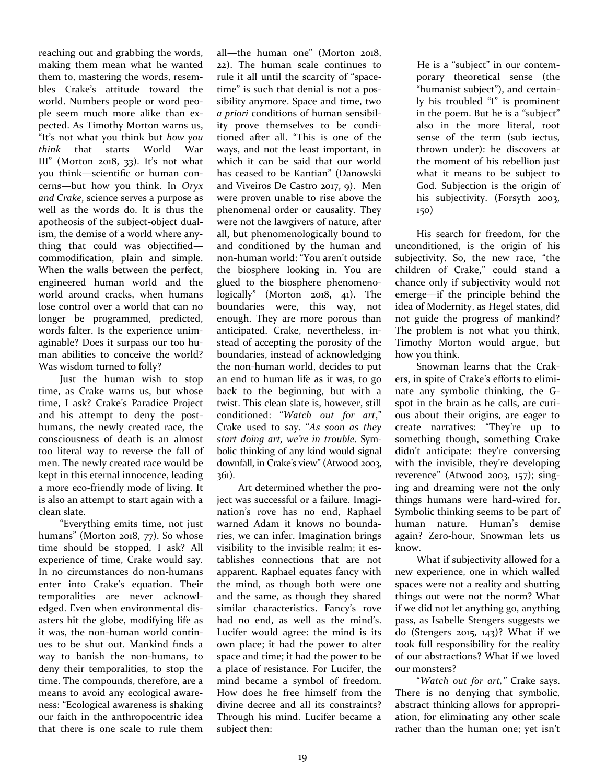reaching out and grabbing the words, making them mean what he wanted them to, mastering the words, resembles Crake's attitude toward the world. Numbers people or word people seem much more alike than expected. As Timothy Morton warns us, "It's not what you think but *how you think* that starts World War III" (Morton 2018, 33). It's not what you think—scientific or human concerns—but how you think. In *Oryx and Crake*, science serves a purpose as well as the words do. It is thus the apotheosis of the subject-object dualism, the demise of a world where anything that could was objectified commodification, plain and simple. When the walls between the perfect, engineered human world and the world around cracks, when humans lose control over a world that can no longer be programmed, predicted, words falter. Is the experience unimaginable? Does it surpass our too human abilities to conceive the world? Was wisdom turned to folly?

Just the human wish to stop time, as Crake warns us, but whose time, I ask? Crake's Paradice Project and his attempt to deny the posthumans, the newly created race, the consciousness of death is an almost too literal way to reverse the fall of men. The newly created race would be kept in this eternal innocence, leading a more eco-friendly mode of living. It is also an attempt to start again with a clean slate.

"Everything emits time, not just humans" (Morton 2018, 77). So whose time should be stopped, I ask? All experience of time, Crake would say. In no circumstances do non-humans enter into Crake's equation. Their temporalities are never acknowledged. Even when environmental disasters hit the globe, modifying life as it was, the non-human world continues to be shut out. Mankind finds a way to banish the non-humans, to deny their temporalities, to stop the time. The compounds, therefore, are a means to avoid any ecological awareness: "Ecological awareness is shaking our faith in the anthropocentric idea that there is one scale to rule them

all—the human one" (Morton 2018, 22). The human scale continues to rule it all until the scarcity of "spacetime" is such that denial is not a possibility anymore. Space and time, two *a priori* conditions of human sensibility prove themselves to be conditioned after all. "This is one of the ways, and not the least important, in which it can be said that our world has ceased to be Kantian" (Danowski and Viveiros De Castro 2017, 9). Men were proven unable to rise above the phenomenal order or causality. They were not the lawgivers of nature, after all, but phenomenologically bound to and conditioned by the human and non-human world: "You aren't outside the biosphere looking in. You are glued to the biosphere phenomenologically" (Morton 2018, 41). The boundaries were, this way, not enough. They are more porous than anticipated. Crake, nevertheless, instead of accepting the porosity of the boundaries, instead of acknowledging the non-human world, decides to put an end to human life as it was, to go back to the beginning, but with a twist. This clean slate is, however, still conditioned: "*Watch out for art*," Crake used to say. "*As soon as they start doing art, we're in trouble*. Symbolic thinking of any kind would signal downfall, in Crake's view" (Atwood 2003, 361).

Art determined whether the project was successful or a failure. Imagination's rove has no end, Raphael warned Adam it knows no boundaries, we can infer. Imagination brings visibility to the invisible realm; it establishes connections that are not apparent. Raphael equates fancy with the mind, as though both were one and the same, as though they shared similar characteristics. Fancy's rove had no end, as well as the mind's. Lucifer would agree: the mind is its own place; it had the power to alter space and time; it had the power to be a place of resistance. For Lucifer, the mind became a symbol of freedom. How does he free himself from the divine decree and all its constraints? Through his mind. Lucifer became a subject then:

He is a "subject" in our contemporary theoretical sense (the "humanist subject"), and certainly his troubled "I" is prominent in the poem. But he is a "subject" also in the more literal, root sense of the term (sub iectus, thrown under): he discovers at the moment of his rebellion just what it means to be subject to God. Subjection is the origin of his subjectivity. (Forsyth 2003, 150)

His search for freedom, for the unconditioned, is the origin of his subjectivity. So, the new race, "the children of Crake," could stand a chance only if subjectivity would not emerge—if the principle behind the idea of Modernity, as Hegel states, did not guide the progress of mankind? The problem is not what you think, Timothy Morton would argue, but how you think.

Snowman learns that the Crakers, in spite of Crake's efforts to eliminate any symbolic thinking, the Gspot in the brain as he calls, are curious about their origins, are eager to create narratives: "They're up to something though, something Crake didn't anticipate: they're conversing with the invisible, they're developing reverence" (Atwood 2003, 157); singing and dreaming were not the only things humans were hard-wired for. Symbolic thinking seems to be part of human nature. Human's demise again? Zero-hour, Snowman lets us know.

What if subjectivity allowed for a new experience, one in which walled spaces were not a reality and shutting things out were not the norm? What if we did not let anything go, anything pass, as Isabelle Stengers suggests we do (Stengers 2015, 143)? What if we took full responsibility for the reality of our abstractions? What if we loved our monsters?

"*Watch out for art,"* Crake says. There is no denying that symbolic, abstract thinking allows for appropriation, for eliminating any other scale rather than the human one; yet isn't